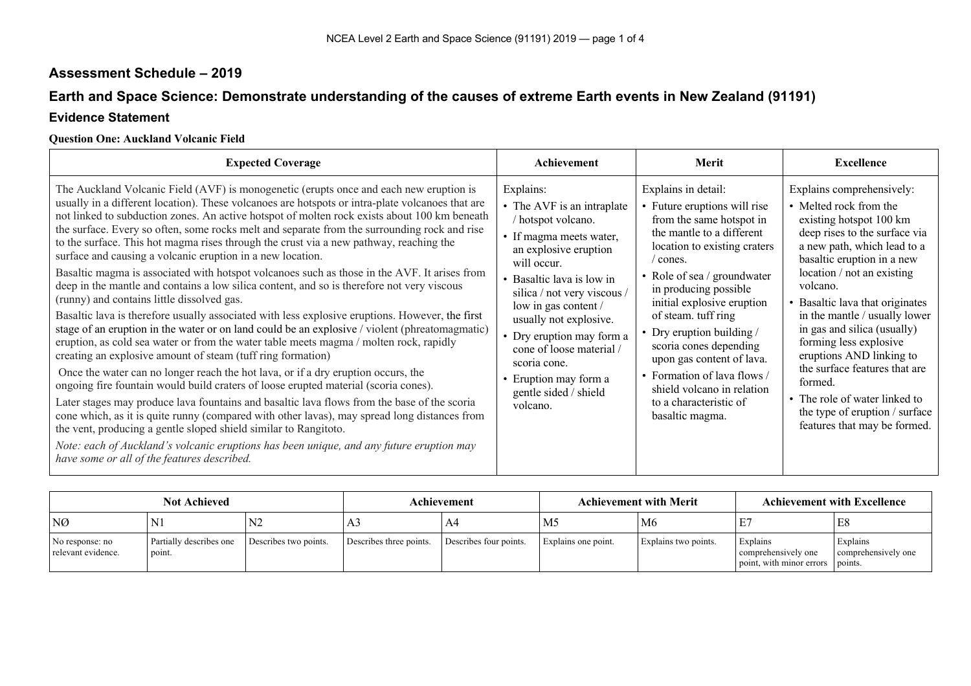# **Assessment Schedule – 2019**

## **Earth and Space Science: Demonstrate understanding of the causes of extreme Earth events in New Zealand (91191)**

### **Evidence Statement**

### **Question One: Auckland Volcanic Field**

| <b>Expected Coverage</b>                                                                                                                                                                                                                                                                                                                                                                                                                                                                                                                                                                                                                                                                                                                                                                                                                                                                                                                                                                                                                                                                                                                                                                                                                                                                                                                                                                                                                                                                                                                                                                                                                                                                                                                               | Achievement                                                                                                                                                                                                                                                                                                                                                                           | Merit                                                                                                                                                                                                                                                                                                                                                                                                                                                               | <b>Excellence</b>                                                                                                                                                                                                                                                                                                                                                                                                                                                                                                              |
|--------------------------------------------------------------------------------------------------------------------------------------------------------------------------------------------------------------------------------------------------------------------------------------------------------------------------------------------------------------------------------------------------------------------------------------------------------------------------------------------------------------------------------------------------------------------------------------------------------------------------------------------------------------------------------------------------------------------------------------------------------------------------------------------------------------------------------------------------------------------------------------------------------------------------------------------------------------------------------------------------------------------------------------------------------------------------------------------------------------------------------------------------------------------------------------------------------------------------------------------------------------------------------------------------------------------------------------------------------------------------------------------------------------------------------------------------------------------------------------------------------------------------------------------------------------------------------------------------------------------------------------------------------------------------------------------------------------------------------------------------------|---------------------------------------------------------------------------------------------------------------------------------------------------------------------------------------------------------------------------------------------------------------------------------------------------------------------------------------------------------------------------------------|---------------------------------------------------------------------------------------------------------------------------------------------------------------------------------------------------------------------------------------------------------------------------------------------------------------------------------------------------------------------------------------------------------------------------------------------------------------------|--------------------------------------------------------------------------------------------------------------------------------------------------------------------------------------------------------------------------------------------------------------------------------------------------------------------------------------------------------------------------------------------------------------------------------------------------------------------------------------------------------------------------------|
| The Auckland Volcanic Field (AVF) is monogenetic (erupts once and each new eruption is<br>usually in a different location). These volcanoes are hotspots or intra-plate volcanoes that are<br>not linked to subduction zones. An active hotspot of molten rock exists about 100 km beneath<br>the surface. Every so often, some rocks melt and separate from the surrounding rock and rise<br>to the surface. This hot magma rises through the crust via a new pathway, reaching the<br>surface and causing a volcanic eruption in a new location.<br>Basaltic magma is associated with hotspot volcanoes such as those in the AVF. It arises from<br>deep in the mantle and contains a low silica content, and so is therefore not very viscous<br>(runny) and contains little dissolved gas.<br>Basaltic lava is therefore usually associated with less explosive eruptions. However, the first<br>stage of an eruption in the water or on land could be an explosive / violent (phreatomagmatic)<br>eruption, as cold sea water or from the water table meets magma / molten rock, rapidly<br>creating an explosive amount of steam (tuff ring formation)<br>Once the water can no longer reach the hot lava, or if a dry eruption occurs, the<br>ongoing fire fountain would build craters of loose erupted material (scoria cones).<br>Later stages may produce lava fountains and basaltic lava flows from the base of the scoria<br>cone which, as it is quite runny (compared with other lavas), may spread long distances from<br>the vent, producing a gentle sloped shield similar to Rangitoto.<br>Note: each of Auckland's volcanic eruptions has been unique, and any future eruption may<br>have some or all of the features described. | Explains:<br>• The AVF is an intraplate<br>/ hotspot volcano.<br>• If magma meets water,<br>an explosive eruption<br>will occur.<br>• Basaltic lava is low in<br>silica / not very viscous /<br>low in gas content /<br>usually not explosive.<br>• Dry eruption may form a<br>cone of loose material /<br>scoria cone.<br>• Eruption may form a<br>gentle sided / shield<br>volcano. | Explains in detail:<br>• Future eruptions will rise<br>from the same hotspot in<br>the mantle to a different<br>location to existing craters<br>/ cones.<br>• Role of sea / groundwater<br>in producing possible<br>initial explosive eruption<br>of steam. tuff ring<br>• Dry eruption building /<br>scoria cones depending<br>upon gas content of lava.<br>• Formation of lava flows /<br>shield volcano in relation<br>to a characteristic of<br>basaltic magma. | Explains comprehensively:<br>• Melted rock from the<br>existing hotspot 100 km<br>deep rises to the surface via<br>a new path, which lead to a<br>basaltic eruption in a new<br>location / not an existing<br>volcano.<br>• Basaltic lava that originates<br>in the mantle / usually lower<br>in gas and silica (usually)<br>forming less explosive<br>eruptions AND linking to<br>the surface features that are<br>formed.<br>• The role of water linked to<br>the type of eruption / surface<br>features that may be formed. |

| <b>Not Achieved</b>                   |                                   |                       | Achievement             | <b>Achievement with Merit</b> |                     | <b>Achievement with Excellence</b> |                                                             |                                            |
|---------------------------------------|-----------------------------------|-----------------------|-------------------------|-------------------------------|---------------------|------------------------------------|-------------------------------------------------------------|--------------------------------------------|
| NØ                                    | $N_{\perp}$                       | N <sub>2</sub>        | ี่ ⊾                    | A4                            | M <sub>5</sub>      | M6                                 |                                                             | E8                                         |
| No response: no<br>relevant evidence. | Partially describes one<br>point. | Describes two points. | Describes three points. | Describes four points.        | Explains one point. | Explains two points.               | Explains<br>comprehensively one<br>point, with minor errors | Explains<br>comprehensively one<br>points. |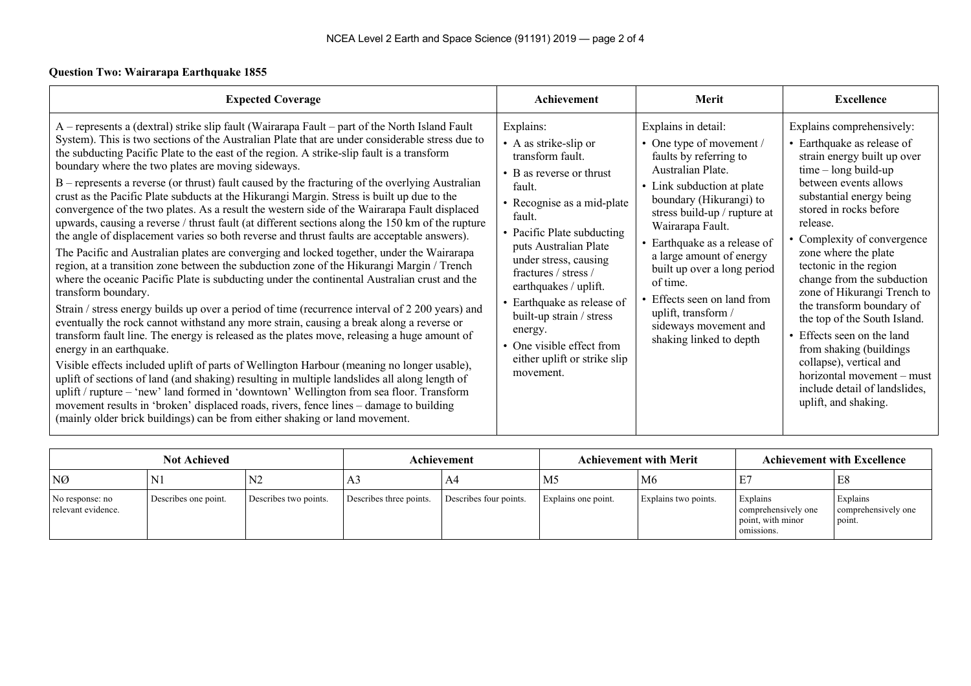#### **Question Two: Wairarapa Earthquake 1855**

| <b>Expected Coverage</b>                                                                                                                                                                                                                                                                                                                                                                                                                                                                                                                                                                                                                                                                                                                                                                                                                                                                                                                                                                                                                                                                                                                                                                                                                                                                                                                                                                                                                                                                                                                                                                                                                                                                                                                                                                                                                                                                                                                                                | Achievement                                                                                                                                                                                                                                                                                                                                                                                                          | Merit                                                                                                                                                                                                                                                                                                                                                                                                                        | <b>Excellence</b>                                                                                                                                                                                                                                                                                                                                                                                                                                                                                                                                                                                  |
|-------------------------------------------------------------------------------------------------------------------------------------------------------------------------------------------------------------------------------------------------------------------------------------------------------------------------------------------------------------------------------------------------------------------------------------------------------------------------------------------------------------------------------------------------------------------------------------------------------------------------------------------------------------------------------------------------------------------------------------------------------------------------------------------------------------------------------------------------------------------------------------------------------------------------------------------------------------------------------------------------------------------------------------------------------------------------------------------------------------------------------------------------------------------------------------------------------------------------------------------------------------------------------------------------------------------------------------------------------------------------------------------------------------------------------------------------------------------------------------------------------------------------------------------------------------------------------------------------------------------------------------------------------------------------------------------------------------------------------------------------------------------------------------------------------------------------------------------------------------------------------------------------------------------------------------------------------------------------|----------------------------------------------------------------------------------------------------------------------------------------------------------------------------------------------------------------------------------------------------------------------------------------------------------------------------------------------------------------------------------------------------------------------|------------------------------------------------------------------------------------------------------------------------------------------------------------------------------------------------------------------------------------------------------------------------------------------------------------------------------------------------------------------------------------------------------------------------------|----------------------------------------------------------------------------------------------------------------------------------------------------------------------------------------------------------------------------------------------------------------------------------------------------------------------------------------------------------------------------------------------------------------------------------------------------------------------------------------------------------------------------------------------------------------------------------------------------|
| A – represents a (dextral) strike slip fault (Wairarapa Fault – part of the North Island Fault<br>System). This is two sections of the Australian Plate that are under considerable stress due to<br>the subducting Pacific Plate to the east of the region. A strike-slip fault is a transform<br>boundary where the two plates are moving sideways.<br>B – represents a reverse (or thrust) fault caused by the fracturing of the overlying Australian<br>crust as the Pacific Plate subducts at the Hikurangi Margin. Stress is built up due to the<br>convergence of the two plates. As a result the western side of the Wairarapa Fault displaced<br>upwards, causing a reverse / thrust fault (at different sections along the 150 km of the rupture<br>the angle of displacement varies so both reverse and thrust faults are acceptable answers).<br>The Pacific and Australian plates are converging and locked together, under the Wairarapa<br>region, at a transition zone between the subduction zone of the Hikurangi Margin / Trench<br>where the oceanic Pacific Plate is subducting under the continental Australian crust and the<br>transform boundary.<br>Strain / stress energy builds up over a period of time (recurrence interval of 2 200 years) and<br>eventually the rock cannot withstand any more strain, causing a break along a reverse or<br>transform fault line. The energy is released as the plates move, releasing a huge amount of<br>energy in an earthquake.<br>Visible effects included uplift of parts of Wellington Harbour (meaning no longer usable),<br>uplift of sections of land (and shaking) resulting in multiple landslides all along length of<br>uplift / rupture – 'new' land formed in 'downtown' Wellington from sea floor. Transform<br>movement results in 'broken' displaced roads, rivers, fence lines - damage to building<br>(mainly older brick buildings) can be from either shaking or land movement. | Explains:<br>• A as strike-slip or<br>transform fault.<br>• B as reverse or thrust<br>fault.<br>• Recognise as a mid-plate<br>fault.<br>• Pacific Plate subducting<br>puts Australian Plate<br>under stress, causing<br>fractures / stress /<br>earthquakes / uplift.<br>• Earthquake as release of<br>built-up strain / stress<br>energy.<br>• One visible effect from<br>either uplift or strike slip<br>movement. | Explains in detail:<br>• One type of movement /<br>faults by referring to<br>Australian Plate.<br>• Link subduction at plate<br>boundary (Hikurangi) to<br>stress build-up / rupture at<br>Wairarapa Fault.<br>• Earthquake as a release of<br>a large amount of energy<br>built up over a long period<br>of time.<br>• Effects seen on land from<br>uplift, transform /<br>sideways movement and<br>shaking linked to depth | Explains comprehensively:<br>• Earthquake as release of<br>strain energy built up over<br>$time - long build-up$<br>between events allows<br>substantial energy being<br>stored in rocks before<br>release.<br>• Complexity of convergence<br>zone where the plate<br>tectonic in the region<br>change from the subduction<br>zone of Hikurangi Trench to<br>the transform boundary of<br>the top of the South Island.<br>• Effects seen on the land<br>from shaking (buildings)<br>collapse), vertical and<br>horizontal movement - must<br>include detail of landslides,<br>uplift, and shaking. |

| <b>Not Achieved</b>                   |                      |                       | Achievement<br><b>Achievement with Merit</b> |                        |                     |                      | <b>Achievement with Excellence</b>                                 |                                           |
|---------------------------------------|----------------------|-----------------------|----------------------------------------------|------------------------|---------------------|----------------------|--------------------------------------------------------------------|-------------------------------------------|
| NØ                                    | N.                   | N <sub>2</sub>        | A3                                           | A4                     | M <sub>5</sub>      | M <sub>6</sub>       |                                                                    | E8                                        |
| No response: no<br>relevant evidence. | Describes one point. | Describes two points. | Describes three points.                      | Describes four points. | Explains one point. | Explains two points. | Explains<br>comprehensively one<br>point, with minor<br>omissions. | Explains<br>comprehensively one<br>point. |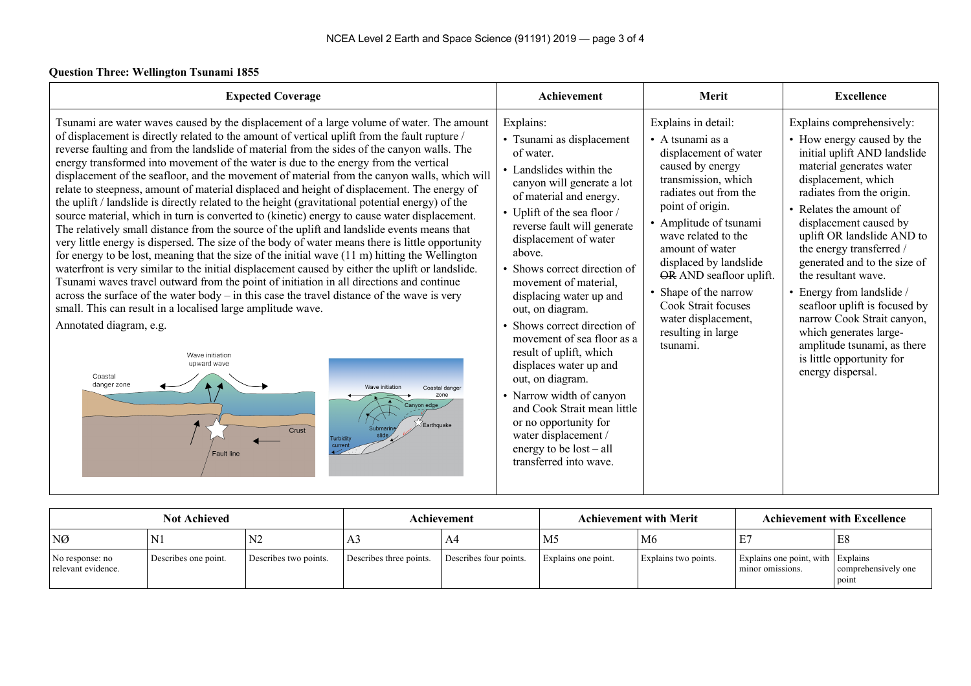#### **Question Three: Wellington Tsunami 1855**

| <b>Expected Coverage</b>                                                                                                                                                                                                                                                                                                                                                                                                                                                                                                                                                                                                                                                                                                                                                                                                                                                                                                                                                                                                                                                                                                                                                                                                                                                                                                                                                                                                                                                                                                                                                                                                                                 | Achievement                                                                                                                                                                                                                                                                                                                                                                                                                                                                                                                                                                                                                                              | Merit                                                                                                                                                                                                                                                                                                                                                                                      | <b>Excellence</b>                                                                                                                                                                                                                                                                                                                                                                                                                                                                                                                                    |
|----------------------------------------------------------------------------------------------------------------------------------------------------------------------------------------------------------------------------------------------------------------------------------------------------------------------------------------------------------------------------------------------------------------------------------------------------------------------------------------------------------------------------------------------------------------------------------------------------------------------------------------------------------------------------------------------------------------------------------------------------------------------------------------------------------------------------------------------------------------------------------------------------------------------------------------------------------------------------------------------------------------------------------------------------------------------------------------------------------------------------------------------------------------------------------------------------------------------------------------------------------------------------------------------------------------------------------------------------------------------------------------------------------------------------------------------------------------------------------------------------------------------------------------------------------------------------------------------------------------------------------------------------------|----------------------------------------------------------------------------------------------------------------------------------------------------------------------------------------------------------------------------------------------------------------------------------------------------------------------------------------------------------------------------------------------------------------------------------------------------------------------------------------------------------------------------------------------------------------------------------------------------------------------------------------------------------|--------------------------------------------------------------------------------------------------------------------------------------------------------------------------------------------------------------------------------------------------------------------------------------------------------------------------------------------------------------------------------------------|------------------------------------------------------------------------------------------------------------------------------------------------------------------------------------------------------------------------------------------------------------------------------------------------------------------------------------------------------------------------------------------------------------------------------------------------------------------------------------------------------------------------------------------------------|
| Tsunami are water waves caused by the displacement of a large volume of water. The amount<br>of displacement is directly related to the amount of vertical uplift from the fault rupture /<br>reverse faulting and from the landslide of material from the sides of the canyon walls. The<br>energy transformed into movement of the water is due to the energy from the vertical<br>displacement of the seafloor, and the movement of material from the canyon walls, which will<br>relate to steepness, amount of material displaced and height of displacement. The energy of<br>the uplift / landslide is directly related to the height (gravitational potential energy) of the<br>source material, which in turn is converted to (kinetic) energy to cause water displacement.<br>The relatively small distance from the source of the uplift and landslide events means that<br>very little energy is dispersed. The size of the body of water means there is little opportunity<br>for energy to be lost, meaning that the size of the initial wave $(11 \text{ m})$ hitting the Wellington<br>waterfront is very similar to the initial displacement caused by either the uplift or landslide.<br>Tsunami waves travel outward from the point of initiation in all directions and continue<br>across the surface of the water body $-$ in this case the travel distance of the wave is very<br>small. This can result in a localised large amplitude wave.<br>Annotated diagram, e.g.<br>Wave initiation<br>upward wave<br>Coastal<br>danger zone<br>Wave initiation<br>Coastal dange<br>Canvon edge<br>Earthquak<br>Crust<br><b>Fault line</b> | Explains:<br>• Tsunami as displacement<br>of water.<br>• Landslides within the<br>canyon will generate a lot<br>of material and energy.<br>• Uplift of the sea floor /<br>reverse fault will generate<br>displacement of water<br>above.<br>• Shows correct direction of<br>movement of material,<br>displacing water up and<br>out, on diagram.<br>Shows correct direction of<br>movement of sea floor as a<br>result of uplift, which<br>displaces water up and<br>out, on diagram.<br>• Narrow width of canyon<br>and Cook Strait mean little<br>or no opportunity for<br>water displacement /<br>energy to be $lost - all$<br>transferred into wave. | Explains in detail:<br>• A tsunami as a<br>displacement of water<br>caused by energy<br>transmission, which<br>radiates out from the<br>point of origin.<br>• Amplitude of tsunami<br>wave related to the<br>amount of water<br>displaced by landslide<br>OR AND seafloor uplift.<br>• Shape of the narrow<br>Cook Strait focuses<br>water displacement,<br>resulting in large<br>tsunami. | Explains comprehensively:<br>• How energy caused by the<br>initial uplift AND landslide<br>material generates water<br>displacement, which<br>radiates from the origin.<br>• Relates the amount of<br>displacement caused by<br>uplift OR landslide AND to<br>the energy transferred /<br>generated and to the size of<br>the resultant wave.<br>• Energy from landslide /<br>seafloor uplift is focused by<br>narrow Cook Strait canyon,<br>which generates large-<br>amplitude tsunami, as there<br>is little opportunity for<br>energy dispersal. |

| <b>Not Achieved</b>                   |                      |                       | Achievement             | <b>Achievement with Merit</b> |                     | <b>Achievement with Excellence</b> |                                                       |                              |
|---------------------------------------|----------------------|-----------------------|-------------------------|-------------------------------|---------------------|------------------------------------|-------------------------------------------------------|------------------------------|
| NØ                                    | IN J                 |                       | ر د                     | -A4                           | M5                  | M6                                 |                                                       | E8                           |
| No response: no<br>relevant evidence. | Describes one point. | Describes two points. | Describes three points. | Describes four points.        | Explains one point. | Explains two points.               | Explains one point, with Explains<br>minor omissions. | comprehensively one<br>point |